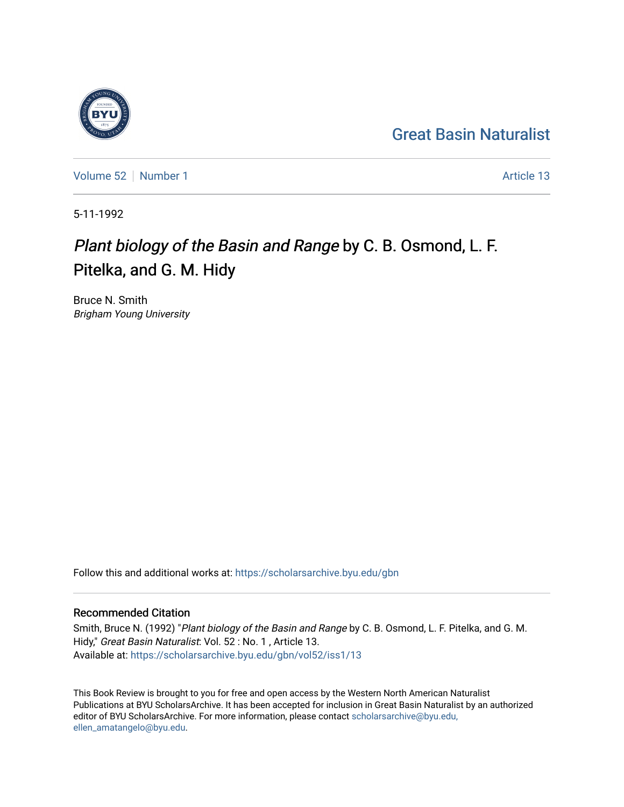#### [Great Basin Naturalist](https://scholarsarchive.byu.edu/gbn)

[Volume 52](https://scholarsarchive.byu.edu/gbn/vol52) [Number 1](https://scholarsarchive.byu.edu/gbn/vol52/iss1) Article 13

5-11-1992

#### Plant biology of the Basin and Range by C. B. Osmond, L. F. Pitelka, and G. M. Hidy

Bruce N. Smith Brigham Young University

Follow this and additional works at: [https://scholarsarchive.byu.edu/gbn](https://scholarsarchive.byu.edu/gbn?utm_source=scholarsarchive.byu.edu%2Fgbn%2Fvol52%2Fiss1%2F13&utm_medium=PDF&utm_campaign=PDFCoverPages) 

#### Recommended Citation

Smith, Bruce N. (1992) "Plant biology of the Basin and Range by C. B. Osmond, L. F. Pitelka, and G. M. Hidy," Great Basin Naturalist: Vol. 52 : No. 1 , Article 13. Available at: [https://scholarsarchive.byu.edu/gbn/vol52/iss1/13](https://scholarsarchive.byu.edu/gbn/vol52/iss1/13?utm_source=scholarsarchive.byu.edu%2Fgbn%2Fvol52%2Fiss1%2F13&utm_medium=PDF&utm_campaign=PDFCoverPages) 

This Book Review is brought to you for free and open access by the Western North American Naturalist Publications at BYU ScholarsArchive. It has been accepted for inclusion in Great Basin Naturalist by an authorized editor of BYU ScholarsArchive. For more information, please contact [scholarsarchive@byu.edu,](mailto:scholarsarchive@byu.edu,%20ellen_amatangelo@byu.edu) [ellen\\_amatangelo@byu.edu](mailto:scholarsarchive@byu.edu,%20ellen_amatangelo@byu.edu).